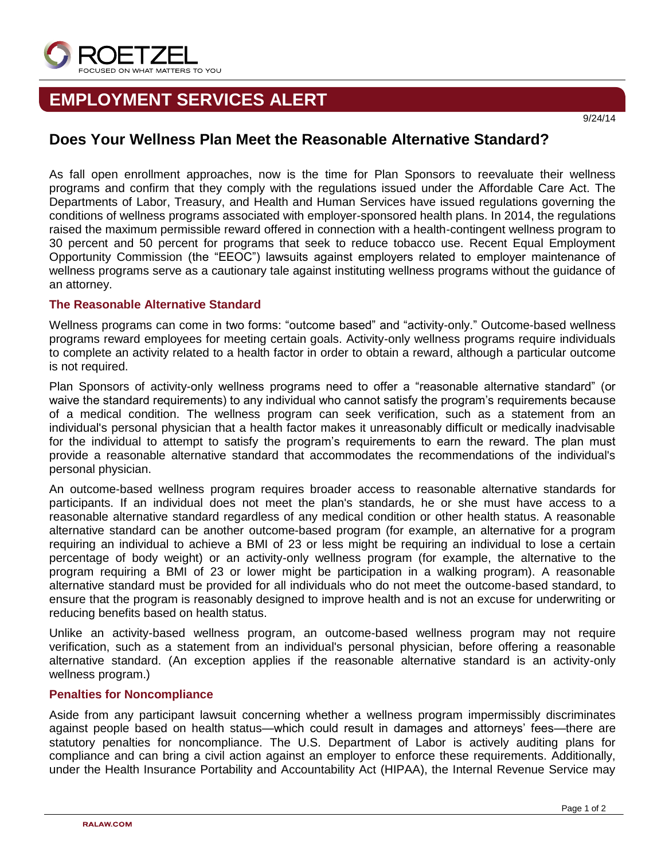

# **EMPLOYMENT SERVICES ALERT**

#### 9/24/14

## **Does Your Wellness Plan Meet the Reasonable Alternative Standard?**

As fall open enrollment approaches, now is the time for Plan Sponsors to reevaluate their wellness programs and confirm that they comply with the regulations issued under the Affordable Care Act. The Departments of Labor, Treasury, and Health and Human Services have issued regulations governing the conditions of wellness programs associated with employer-sponsored health plans. In 2014, the regulations raised the maximum permissible reward offered in connection with a health-contingent wellness program to 30 percent and 50 percent for programs that seek to reduce tobacco use. Recent Equal Employment Opportunity Commission (the "EEOC") lawsuits against employers related to employer maintenance of wellness programs serve as a cautionary tale against instituting wellness programs without the guidance of an attorney.

### **The Reasonable Alternative Standard**

Wellness programs can come in two forms: "outcome based" and "activity-only." Outcome-based wellness programs reward employees for meeting certain goals. Activity-only wellness programs require individuals to complete an activity related to a health factor in order to obtain a reward, although a particular outcome is not required.

Plan Sponsors of activity-only wellness programs need to offer a "reasonable alternative standard" (or waive the standard requirements) to any individual who cannot satisfy the program's requirements because of a medical condition. The wellness program can seek verification, such as a statement from an individual's personal physician that a health factor makes it unreasonably difficult or medically inadvisable for the individual to attempt to satisfy the program's requirements to earn the reward. The plan must provide a reasonable alternative standard that accommodates the recommendations of the individual's personal physician.

An outcome-based wellness program requires broader access to reasonable alternative standards for participants. If an individual does not meet the plan's standards, he or she must have access to a reasonable alternative standard regardless of any medical condition or other health status. A reasonable alternative standard can be another outcome-based program (for example, an alternative for a program requiring an individual to achieve a BMI of 23 or less might be requiring an individual to lose a certain percentage of body weight) or an activity-only wellness program (for example, the alternative to the program requiring a BMI of 23 or lower might be participation in a walking program). A reasonable alternative standard must be provided for all individuals who do not meet the outcome-based standard, to ensure that the program is reasonably designed to improve health and is not an excuse for underwriting or reducing benefits based on health status.

Unlike an activity-based wellness program, an outcome-based wellness program may not require verification, such as a statement from an individual's personal physician, before offering a reasonable alternative standard. (An exception applies if the reasonable alternative standard is an activity-only wellness program.)

#### **Penalties for Noncompliance**

Aside from any participant lawsuit concerning whether a wellness program impermissibly discriminates against people based on health status—which could result in damages and attorneys' fees—there are statutory penalties for noncompliance. The U.S. Department of Labor is actively auditing plans for compliance and can bring a civil action against an employer to enforce these requirements. Additionally, under the Health Insurance Portability and Accountability Act (HIPAA), the Internal Revenue Service may